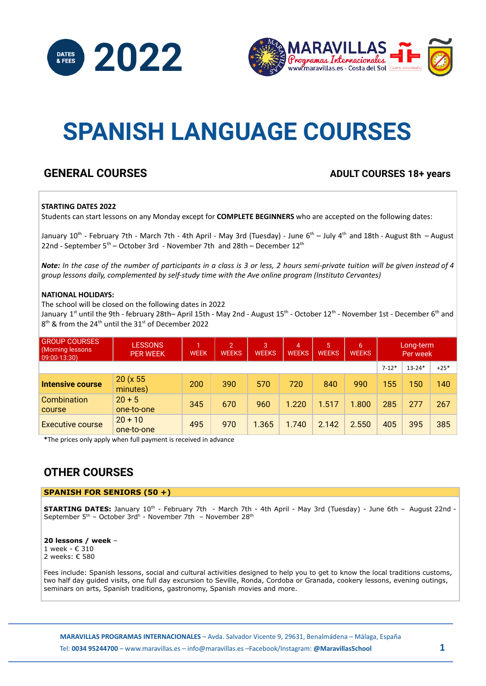



# **SPANISH LANGUAGE COURSES**

### **GENERAL COURSES ADULT COURSES 18+ years**

#### **STARTING DATES 2022**

Students can start lessons on any Monday except for **COMPLETE BEGINNERS** who are accepted on the following dates:

January 10<sup>th</sup> - February 7th - March 7th - 4th April - May 3rd (Tuesday) - June 6<sup>th</sup> – July 4<sup>th</sup> and 18th - August 8th – August 22nd - September  $5<sup>th</sup>$  – October 3rd - November 7th and 28th – December 12<sup>th</sup>

Note: In the case of the number of participants in a class is 3 or less, 2 hours semi-private tuition will be given instead of 4 *group lessons daily, complemented by self-study time with the Ave online program (Instituto Cervantes)*

#### **NATIONAL HOLIDAYS:**

The school will be closed on the following dates in 2022

January 1<sup>st</sup> until the 9th - february 28th– April 15th - May 2nd - August 15<sup>th</sup> - October 12<sup>th</sup> - November 1st - December 6<sup>th</sup> and  $8<sup>th</sup>$  & from the 24<sup>th</sup> until the 31<sup>st</sup> of December 2022

| <b>GROUP COURSES</b><br><b>Morning lessons</b><br>$ 09:00 - 13:30\rangle$ | <b>LESSONS</b><br><b>PER WEEK</b> | м<br><b>WEEK</b> | $\overline{2}$<br><b>WEEKS</b> | 3<br><b>WEEKS</b> | $\overline{4}$<br><b>WEEKS</b> | 5<br><b>WEEKS</b> | 61<br><b>WEEKS</b> | Long-term<br>Per week |            |        |
|---------------------------------------------------------------------------|-----------------------------------|------------------|--------------------------------|-------------------|--------------------------------|-------------------|--------------------|-----------------------|------------|--------|
|                                                                           |                                   |                  |                                |                   |                                |                   |                    | $7 - 12*$             | $13 - 24*$ | $+25*$ |
| Intensive course                                                          | 20 (x 55<br>minutes)              | 200              | 390                            | 570               | 720                            | 840               | 990                | 155                   | 150        | 140    |
| Combination<br>course                                                     | $20 + 5$<br>one-to-one            | 345              | 670                            | 960               | 1.220                          | 1.517             | 1.800              | 285                   | 277        | 267    |
| Executive course                                                          | $20 + 10$<br>one-to-one           | 495              | 970                            | 1.365             | 1.740                          | 2.142             | 2.550              | 405                   | 395        | 385    |

**\***The prices only apply when full payment is received in advance

### **OTHER COURSES**

#### **SPANISH FOR SENIORS (50 +)**

**STARTING DATES:** January 10<sup>th</sup> - February 7th - March 7th - 4th April - May 3rd (Tuesday) - June 6th - August 22nd -September 5<sup>th</sup> - October 3rd<sup>h</sup> - November 7th – November 28<sup>th</sup>

**20 lessons / week** – 1 week - € 310 2 weeks: € 580

Fees include: Spanish lessons, social and cultural activities designed to help you to get to know the local traditions customs, two half day guided visits, one full day excursion to Seville, Ronda, Cordoba or Granada, cookery lessons, evening outings, seminars on arts, Spanish traditions, gastronomy, Spanish movies and more.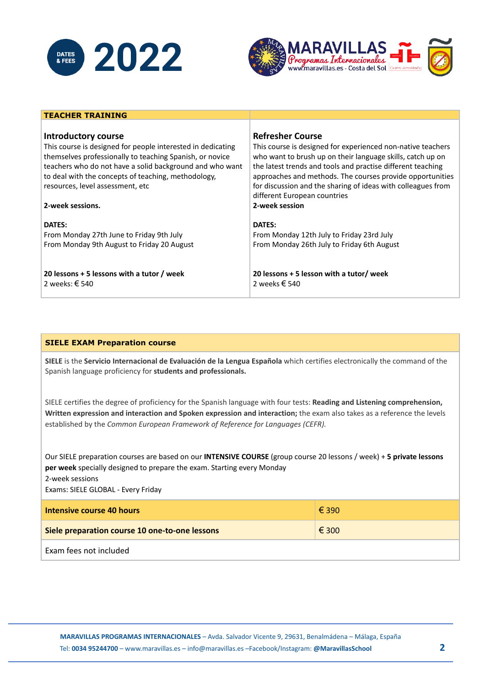

**TEACHER TRAINING**



#### **Introductory course** This course is designed for people interested in dedicating themselves professionally to teaching Spanish, or novice teachers who do not have a solid background and who want to deal with the concepts of teaching, methodology, resources, level assessment, etc **2-week sessions. DATES:** From Monday 27th June to Friday 9th July From Monday 9th August to Friday 20 August **20 lessons + 5 lessons with a tutor / week** 2 weeks: € 540 **Refresher Course** This course is designed for experienced non-native teachers who want to brush up on their language skills, catch up on the latest trends and tools and practise different teaching approaches and methods. The courses provide opportunities for discussion and the sharing of ideas with colleagues from different European countries **2-week session DATES:** From Monday 12th July to Friday 23rd July From Monday 26th July to Friday 6th August **20 lessons + 5 lesson with a tutor/ week** 2 weeks € 540

#### **SIELE EXAM Preparation course**

**SIELE** is the **Servicio Internacional de Evaluación de la Lengua Española** which certifies electronically the command of the Spanish language proficiency for **students and professionals.**

SIELE certifies the degree of proficiency for the Spanish language with four tests: **Reading and Listening comprehension, Written expression and interaction and Spoken expression and interaction;** the exam also takes as a reference the levels established by the *Common European Framework of Reference for Languages (CEFR).*

Our SIELE preparation courses are based on our **INTENSIVE COURSE** (group course 20 lessons / week) + **5 private lessons per week** specially designed to prepare the exam. Starting every Monday 2-week sessions

Exams: SIELE GLOBAL - Every Friday

| Intensive course 40 hours                      | € 390 |
|------------------------------------------------|-------|
| Siele preparation course 10 one-to-one lessons | € 300 |
| Exam fees not included                         |       |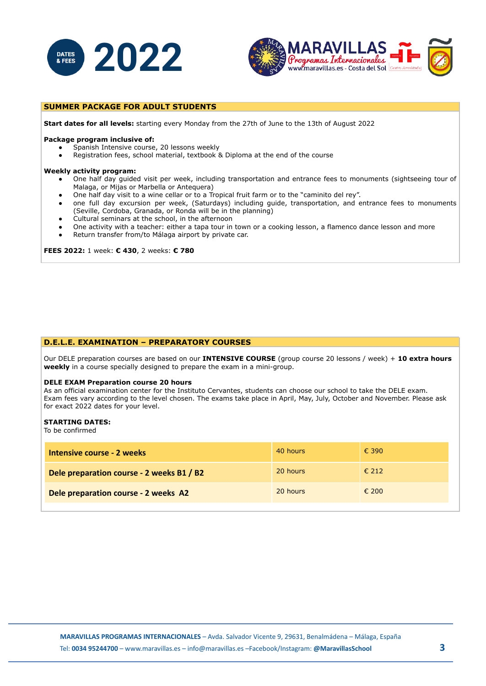



#### **SUMMER PACKAGE FOR ADULT STUDENTS**

**Start dates for all levels:** starting every Monday from the 27th of June to the 13th of August 2022

#### **Package program inclusive of:**

- Spanish Intensive course, 20 lessons weekly
- Registration fees, school material, textbook & Diploma at the end of the course

#### **Weekly activity program:**

- One half day guided visit per week, including transportation and entrance fees to monuments (sightseeing tour of Malaga, or Mijas or Marbella or Antequera)
- One half day visit to a wine cellar or to a Tropical fruit farm or to the "caminito del rey".
- one full day excursion per week, (Saturdays) including guide, transportation, and entrance fees to monuments (Seville, Cordoba, Granada, or Ronda will be in the planning)
- Cultural seminars at the school, in the afternoon
- One activity with a teacher: either a tapa tour in town or a cooking lesson, a flamenco dance lesson and more
- Return transfer from/to Málaga airport by private car.

**FEES 2022:** 1 week: **€ 430**, 2 weeks: **€ 780**

#### **D.E.L.E. EXAMINATION – PREPARATORY COURSES**

Our DELE preparation courses are based on our **INTENSIVE COURSE** (group course 20 lessons / week) + **10 extra hours weekly** in a course specially designed to prepare the exam in a mini-group.

#### **DELE EXAM Preparation course 20 hours**

As an official examination center for the Instituto Cervantes, students can choose our school to take the DELE exam. Exam fees vary according to the level chosen. The exams take place in April, May, July, October and November. Please ask for exact 2022 dates for your level.

#### **STARTING DATES:**

To be confirmed

| Intensive course - 2 weeks                | 40 hours | € 390          |
|-------------------------------------------|----------|----------------|
| Dele preparation course - 2 weeks B1 / B2 | 20 hours | $\epsilon$ 212 |
| Dele preparation course - 2 weeks A2      | 20 hours | $\epsilon$ 200 |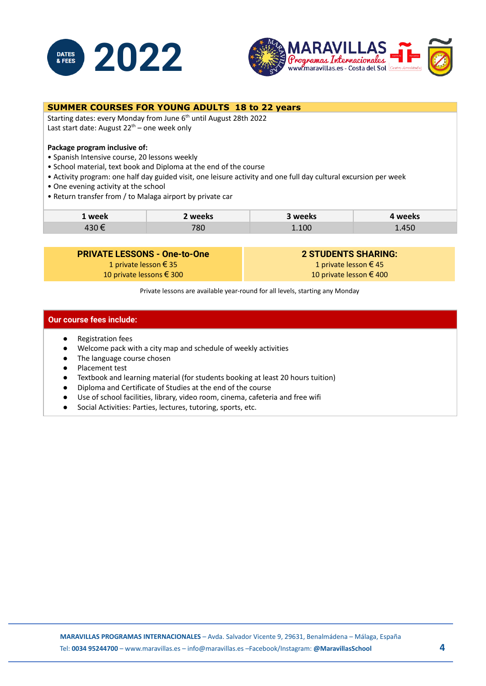



#### **SUMMER COURSES FOR YOUNG ADULTS 18 to 22 years**

Starting dates: every Monday from June 6<sup>th</sup> until August 28th 2022 Last start date: August 22<sup>th</sup> – one week only

#### **Package program inclusive of:**

- Spanish Intensive course, 20 lessons weekly
- School material, text book and Diploma at the end of the course
- Activity program: one half day guided visit, one leisure activity and one full day cultural excursion per week
- One evening activity at the school
- Return transfer from / to Malaga airport by private car

| 1 week | weeks     | weeks | <b>weeks</b> |
|--------|-----------|-------|--------------|
| $\sim$ | 700<br>ou | 101   | 1.450        |

#### **PRIVATE LESSONS - One-to-One**

1 private lesson € 35 10 private lessons € 300 **2 STUDENTS SHARING:** 1 private lesson € 45 10 private lesson € 400

Private lessons are available year-round for all levels, starting any Monday

#### **Our course fees include:**

- Registration fees
- Welcome pack with a city map and schedule of weekly activities
- The language course chosen
- Placement test
- Textbook and learning material (for students booking at least 20 hours tuition)
- Diploma and Certificate of Studies at the end of the course
- Use of school facilities, library, video room, cinema, cafeteria and free wifi
- Social Activities: Parties, lectures, tutoring, sports, etc.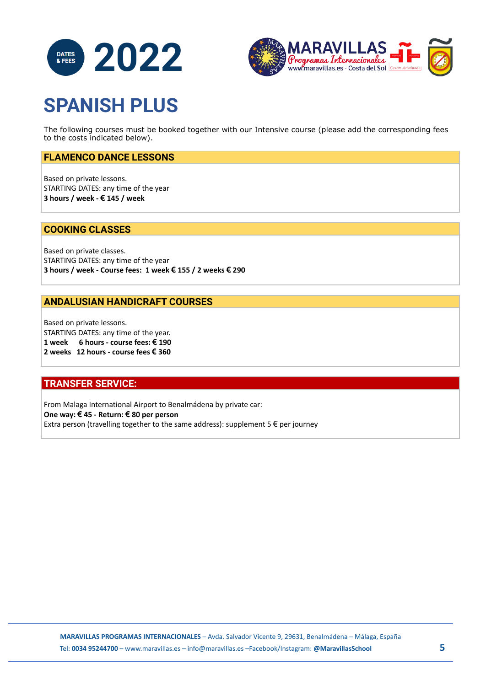



# **SPANISH PLUS**

The following courses must be booked together with our Intensive course (please add the corresponding fees to the costs indicated below).

#### **FLAMENCO DANCE LESSONS**

Based on private lessons. STARTING DATES: any time of the year **3 hours / week - € 145 / week**

#### **COOKING CLASSES**

Based on private classes. STARTING DATES: any time of the year **3 hours / week - Course fees: 1 week € 155 / 2 weeks € 290**

#### **ANDALUSIAN HANDICRAFT COURSES**

Based on private lessons. STARTING DATES: any time of the year. **1 week 6 hours - course fees: € 190 2 weeks 12 hours - course fees € 360**

#### **TRANSFER SERVICE:**

From Malaga International Airport to Benalmádena by private car: **One way: € 45 - Return: € 80 per person** Extra person (travelling together to the same address): supplement  $5 \in \text{per}$  journey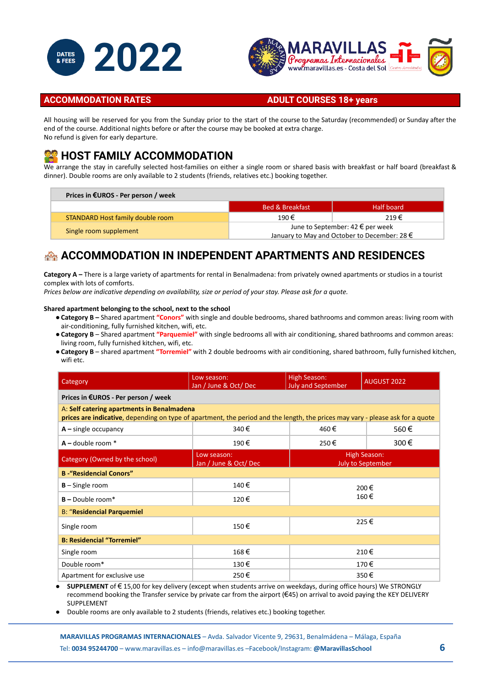



#### **ACCOMMODATION RATES ADULT COURSES 18+ years**

All housing will be reserved for you from the Sunday prior to the start of the course to the Saturday (recommended) or Sunday after the end of the course. Additional nights before or after the course may be booked at extra charge. No refund is given for early departure.

### **HOST FAMILY ACCOMMODATION**

We arrange the stay in carefully selected host-families on either a single room or shared basis with breakfast or half board (breakfast & dinner). Double rooms are only available to 2 students (friends, relatives etc.) booking together.

| Prices in $EUROS$ - Per person / week |                                                                                                      |            |  |  |
|---------------------------------------|------------------------------------------------------------------------------------------------------|------------|--|--|
|                                       | <b>Bed &amp; Breakfast</b>                                                                           | Half board |  |  |
| STANDARD Host family double room      | 190€                                                                                                 | $219 \in$  |  |  |
| Single room supplement                | June to September: $42 \in \text{per week}$<br>January to May and October to December: 28 $\epsilon$ |            |  |  |

### **ACCOMMODATION IN INDEPENDENT APARTMENTS AND RESIDENCES**

**Category A –** There is a large variety of apartments for rental in Benalmadena: from privately owned apartments or studios in a tourist complex with lots of comforts.

*Prices below are indicative depending on availability, size or period of your stay. Please ask for a quote.*

#### **Shared apartment belonging to the school, next to the school**

- ●**Category B –** Shared apartment **"Conors"** with single and double bedrooms, shared bathrooms and common areas: living room with air-conditioning, fully furnished kitchen, wifi, etc.
- ●**Category B** Shared apartment **"Parquemiel"** with single bedrooms all with air conditioning, shared bathrooms and common areas: living room, fully furnished kitchen, wifi, etc.
- ●**Category B** shared apartment **"Torremiel"** with 2 double bedrooms with air conditioning, shared bathroom, fully furnished kitchen, wifi etc.

| Category                                                                                                                                                                     | Low season:<br>Jan / June & Oct/ Dec | <b>High Season:</b><br><b>July and September</b> | <b>AUGUST 2022</b> |  |  |  |  |
|------------------------------------------------------------------------------------------------------------------------------------------------------------------------------|--------------------------------------|--------------------------------------------------|--------------------|--|--|--|--|
| Prices in €UROS - Per person / week                                                                                                                                          |                                      |                                                  |                    |  |  |  |  |
| A: Self catering apartments in Benalmadena<br>prices are indicative, depending on type of apartment, the period and the length, the prices may vary - please ask for a quote |                                      |                                                  |                    |  |  |  |  |
| $A$ – single occupancy                                                                                                                                                       | 340€                                 | 460€                                             | 560€               |  |  |  |  |
| $A -$ double room $*$                                                                                                                                                        | 190€                                 | 250€                                             | 300€               |  |  |  |  |
| Category (Owned by the school)                                                                                                                                               | Low season:<br>Jan / June & Oct/ Dec | High Season:<br><b>July to September</b>         |                    |  |  |  |  |
| <b>B</b> - "Residencial Conors"                                                                                                                                              |                                      |                                                  |                    |  |  |  |  |
| $B -$ Single room                                                                                                                                                            | 140€                                 | 200€                                             |                    |  |  |  |  |
| $B -$ Double room <sup>*</sup>                                                                                                                                               | 120€                                 | 160€                                             |                    |  |  |  |  |
| <b>B: "Residencial Parquemiel</b>                                                                                                                                            |                                      |                                                  |                    |  |  |  |  |
| Single room                                                                                                                                                                  | 150€                                 | 225€                                             |                    |  |  |  |  |
| <b>B: Residencial "Torremiel"</b>                                                                                                                                            |                                      |                                                  |                    |  |  |  |  |
| Single room                                                                                                                                                                  | 168€                                 | 210€                                             |                    |  |  |  |  |
| Double room*                                                                                                                                                                 | 130€                                 | 170€                                             |                    |  |  |  |  |
| Apartment for exclusive use                                                                                                                                                  | 250€                                 | 350€                                             |                    |  |  |  |  |

● **SUPPLEMENT** of € 15,00 for key delivery (except when students arrive on weekdays, during office hours) We STRONGLY recommend booking the Transfer service by private car from the airport (€45) on arrival to avoid paying the KEY DELIVERY SUPPLEMENT

Double rooms are only available to 2 students (friends, relatives etc.) booking together.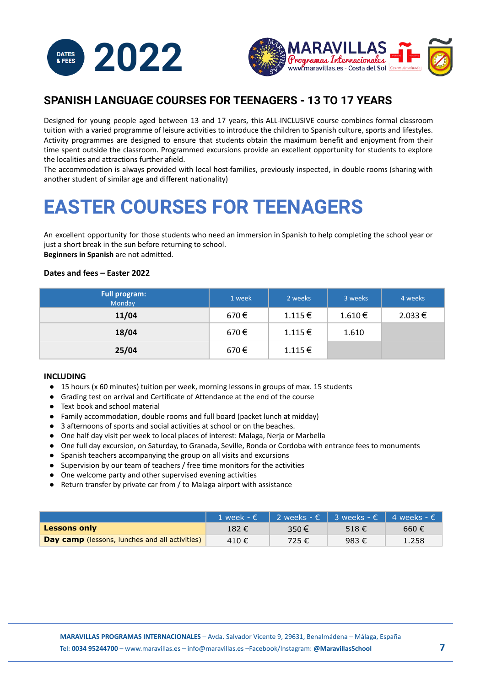



### **SPANISH LANGUAGE COURSES FOR TEENAGERS - 13 TO 17 YEARS**

Designed for young people aged between 13 and 17 years, this ALL-INCLUSIVE course combines formal classroom tuition with a varied programme of leisure activities to introduce the children to Spanish culture, sports and lifestyles. Activity programmes are designed to ensure that students obtain the maximum benefit and enjoyment from their time spent outside the classroom. Programmed excursions provide an excellent opportunity for students to explore the localities and attractions further afield.

The accommodation is always provided with local host-families, previously inspected, in double rooms (sharing with another student of similar age and different nationality)

# **EASTER COURSES FOR TEENAGERS**

An excellent opportunity for those students who need an immersion in Spanish to help completing the school year or just a short break in the sun before returning to school. **Beginners in Spanish** are not admitted.

#### **Dates and fees – Easter 2022**

| <b>Full program:</b><br>Monday | 1 week | 2 weeks     | 3 weeks     | 4 weeks     |
|--------------------------------|--------|-------------|-------------|-------------|
| 11/04                          | 670€   | 1.115€      | $1.610 \in$ | $2.033 \in$ |
| 18/04                          | 670€   | $1.115 \in$ | 1.610       |             |
| 25/04                          | 670€   | 1.115€      |             |             |

#### **INCLUDING**

- 15 hours (x 60 minutes) tuition per week, morning lessons in groups of max. 15 students
- Grading test on arrival and Certificate of Attendance at the end of the course
- Text book and school material
- Family accommodation, double rooms and full board (packet lunch at midday)
- 3 afternoons of sports and social activities at school or on the beaches.
- One half day visit per week to local places of interest: Malaga, Nerja or Marbella
- One full day excursion, on Saturday, to Granada, Seville, Ronda or Cordoba with entrance fees to monuments
- Spanish teachers accompanying the group on all visits and excursions
- Supervision by our team of teachers / free time monitors for the activities
- One welcome party and other supervised evening activities
- Return transfer by private car from / to Malaga airport with assistance

|                                                       | 1 week - € 2 weeks - € 3 weeks - € 4 weeks - € |       |                |                |
|-------------------------------------------------------|------------------------------------------------|-------|----------------|----------------|
| Lessons only                                          | 182 €                                          | 350 € | 518 $\epsilon$ | 660 $\epsilon$ |
| <b>Day camp</b> (lessons, lunches and all activities) | 410€                                           | 725€  | 983€           | 1.258          |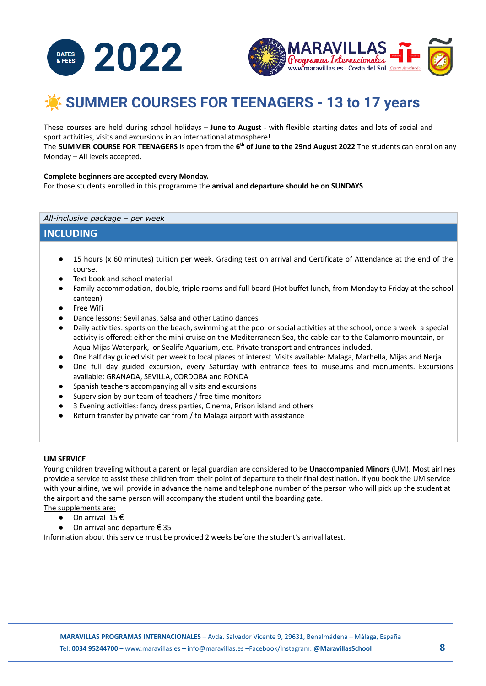



## ☀️ **SUMMER COURSES FOR TEENAGERS - 13 to 17 years**

These courses are held during school holidays – **June to August** - with flexible starting dates and lots of social and sport activities, visits and excursions in an international atmosphere!

The **SUMMER COURSE FOR TEENAGERS** is open from the **6 th of June to the 29nd August 2022** The students can enrol on any Monday – All levels accepted.

#### **Complete beginners are accepted every Monday.**

For those students enrolled in this programme the **arrival and departure should be on SUNDAYS**

*All-inclusive package – per week*

#### **INCLUDING**

- 15 hours (x 60 minutes) tuition per week. Grading test on arrival and Certificate of Attendance at the end of the course.
- Text book and school material
- Family accommodation, double, triple rooms and full board (Hot buffet lunch, from Monday to Friday at the school canteen)
- Free Wifi
- Dance lessons: Sevillanas, Salsa and other Latino dances
- Daily activities: sports on the beach, swimming at the pool or social activities at the school; once a week a special activity is offered: either the mini-cruise on the Mediterranean Sea, the cable-car to the Calamorro mountain, or Aqua Mijas Waterpark, or Sealife Aquarium, etc. Private transport and entrances included.
- One half day guided visit per week to local places of interest. Visits available: Malaga, Marbella, Mijas and Nerja
- One full day guided excursion, every Saturday with entrance fees to museums and monuments. Excursions available: GRANADA, SEVILLA, CORDOBA and RONDA
- Spanish teachers accompanying all visits and excursions
- Supervision by our team of teachers / free time monitors
- 3 Evening activities: fancy dress parties, Cinema, Prison island and others
- Return transfer by private car from / to Malaga airport with assistance

#### **UM SERVICE**

Young children traveling without a parent or legal guardian are considered to be **Unaccompanied Minors** (UM). Most airlines provide a service to assist these children from their point of departure to their final destination. If you book the UM service with your airline, we will provide in advance the name and telephone number of the person who will pick up the student at the airport and the same person will accompany the student until the boarding gate.

The supplements are:

- $\bullet$  On arrival 15 $\epsilon$
- On arrival and departure  $\epsilon$  35

Information about this service must be provided 2 weeks before the student's arrival latest.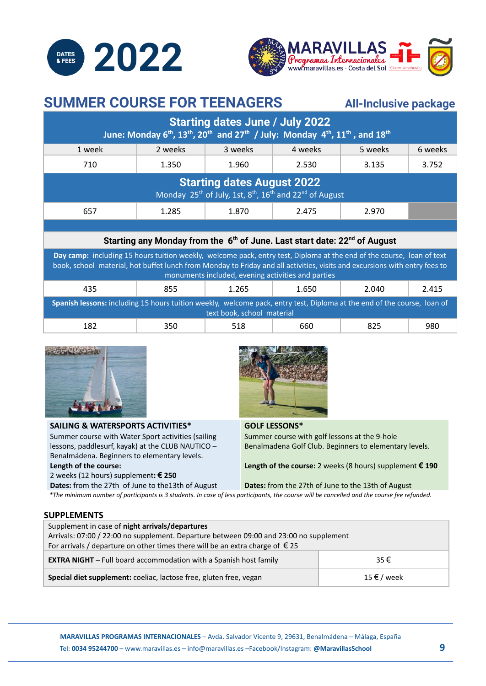



### **SUMMER COURSE FOR TEENAGERS All-Inclusive package**

| <b>Starting dates June / July 2022</b><br>June: Monday 6 <sup>th</sup> , 13 <sup>th</sup> , 20 <sup>th</sup> and 27 <sup>th</sup> / July: Monday 4 <sup>th</sup> , 11 <sup>th</sup> , and 18 <sup>th</sup>                                                                                                |                                                                                                   |         |         |         |         |  |  |
|-----------------------------------------------------------------------------------------------------------------------------------------------------------------------------------------------------------------------------------------------------------------------------------------------------------|---------------------------------------------------------------------------------------------------|---------|---------|---------|---------|--|--|
| 1 week                                                                                                                                                                                                                                                                                                    | 2 weeks                                                                                           | 3 weeks | 4 weeks | 5 weeks | 6 weeks |  |  |
| 710                                                                                                                                                                                                                                                                                                       | 1.350                                                                                             | 1.960   | 2.530   | 3.135   | 3.752   |  |  |
| <b>Starting dates August 2022</b><br>Monday 25 <sup>th</sup> of July, 1st, 8 <sup>th</sup> , 16 <sup>th</sup> and 22 <sup>nd</sup> of August                                                                                                                                                              |                                                                                                   |         |         |         |         |  |  |
| 657                                                                                                                                                                                                                                                                                                       | 1.285                                                                                             | 1.870   | 2.475   | 2.970   |         |  |  |
|                                                                                                                                                                                                                                                                                                           |                                                                                                   |         |         |         |         |  |  |
|                                                                                                                                                                                                                                                                                                           | Starting any Monday from the 6 <sup>th</sup> of June. Last start date: 22 <sup>nd</sup> of August |         |         |         |         |  |  |
| Day camp: including 15 hours tuition weekly, welcome pack, entry test, Diploma at the end of the course, loan of text<br>book, school material, hot buffet lunch from Monday to Friday and all activities, visits and excursions with entry fees to<br>monuments included, evening activities and parties |                                                                                                   |         |         |         |         |  |  |
| 435                                                                                                                                                                                                                                                                                                       | 855                                                                                               | 1.265   | 1.650   | 2.040   | 2.415   |  |  |
| Spanish lessons: including 15 hours tuition weekly, welcome pack, entry test, Diploma at the end of the course, loan of<br>text book, school material                                                                                                                                                     |                                                                                                   |         |         |         |         |  |  |
| 182                                                                                                                                                                                                                                                                                                       | 350                                                                                               | 518     | 660     | 825     | 980     |  |  |



### **SAILING & WATERSPORTS ACTIVITIES\***

Summer course with Water Sport activities (sailing lessons, paddlesurf, kayak) at the CLUB NAUTICO – Benalmádena. Beginners to elementary levels. **Length of the course:**

**GOLF LESSONS\***

Summer course with golf lessons at the 9-hole Benalmadena Golf Club. Beginners to elementary levels.

**Length of the course:** 2 weeks (8 hours) supplement **€ 190**

2 weeks (12 hours) supplement**: € 250 Dates:** from the 27th of June to the13th of August

**Dates:** from the 27th of June to the 13th of August

\*The minimum number of participants is 3 students. In case of less participants, the course will be cancelled and the course fee refunded.

#### **SUPPLEMENTS**

| Supplement in case of night arrivals/departures                                        |  |  |  |  |  |
|----------------------------------------------------------------------------------------|--|--|--|--|--|
| Arrivals: 07:00 / 22:00 no supplement. Departure between 09:00 and 23:00 no supplement |  |  |  |  |  |
| For arrivals / departure on other times there will be an extra charge of $\epsilon$ 25 |  |  |  |  |  |
| <b>EXTRA NIGHT</b> - Full board accommodation with a Spanish host family<br>35€        |  |  |  |  |  |
| Special diet supplement: coeliac, lactose free, gluten free, vegan<br>15 € / week      |  |  |  |  |  |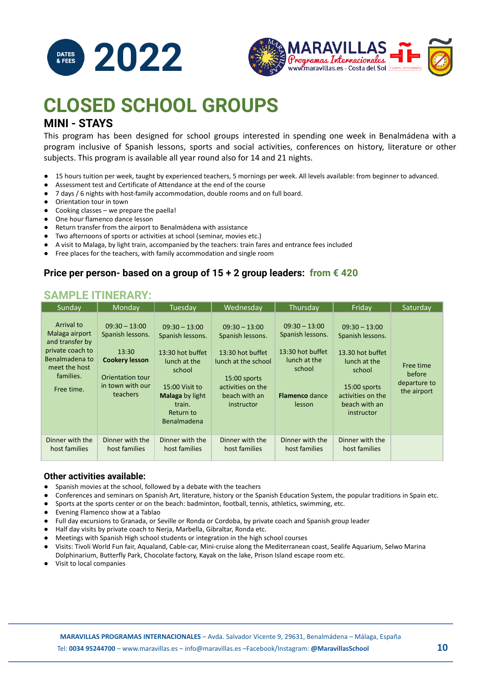



## **CLOSED SCHOOL GROUPS MINI - STAYS**

This program has been designed for school groups interested in spending one week in Benalmádena with a program inclusive of Spanish lessons, sports and social activities, conferences on history, literature or other subjects. This program is available all year round also for 14 and 21 nights.

- 15 hours tuition per week, taught by experienced teachers, 5 mornings per week. All levels available: from beginner to advanced.
- Assessment test and Certificate of Attendance at the end of the course
- 7 days / 6 nights with host-family accommodation, double rooms and on full board.
- Orientation tour in town
- Cooking classes we prepare the paella!
- One hour flamenco dance lesson
- Return transfer from the airport to Benalmádena with assistance
- Two afternoons of sports or activities at school (seminar, movies etc.)
- A visit to Malaga, by light train, accompanied by the teachers: train fares and entrance fees included
- Free places for the teachers, with family accommodation and single room

#### **Price per person- based on a group of 15 + 2 group leaders: from € 420**

### **SAMPLE ITINERARY:**

| Sunday                                                                                                                            | Monday                                                                                                                    | Tuesday                                                                                                                                                             | Wednesday                                                                                                                                          | Thursday                                                                                                             | Friday                                                                                                                                                | Saturday                                           |
|-----------------------------------------------------------------------------------------------------------------------------------|---------------------------------------------------------------------------------------------------------------------------|---------------------------------------------------------------------------------------------------------------------------------------------------------------------|----------------------------------------------------------------------------------------------------------------------------------------------------|----------------------------------------------------------------------------------------------------------------------|-------------------------------------------------------------------------------------------------------------------------------------------------------|----------------------------------------------------|
| Arrival to<br>Malaga airport<br>and transfer by<br>private coach to<br>Benalmadena to<br>meet the host<br>families.<br>Free time. | $09:30 - 13:00$<br>Spanish lessons.<br>13:30<br><b>Cookery lesson</b><br>Orientation tour<br>in town with our<br>teachers | $09:30 - 13:00$<br>Spanish lessons.<br>13:30 hot buffet<br>lunch at the<br>school<br>15:00 Visit to<br>Malaga by light<br>train.<br>Return to<br><b>Benalmadena</b> | $09:30 - 13:00$<br>Spanish lessons.<br>13:30 hot buffet<br>lunch at the school<br>15:00 sports<br>activities on the<br>beach with an<br>instructor | $09:30 - 13:00$<br>Spanish lessons.<br>13:30 hot buffet<br>lunch at the<br>school<br><b>Flamenco</b> dance<br>lesson | $09:30 - 13:00$<br>Spanish lessons.<br>13.30 hot buffet<br>lunch at the<br>school<br>15:00 sports<br>activities on the<br>beach with an<br>instructor | Free time<br>before<br>departure to<br>the airport |
| Dinner with the<br>host families                                                                                                  | Dinner with the<br>host families                                                                                          | Dinner with the<br>host families                                                                                                                                    | Dinner with the<br>host families                                                                                                                   | Dinner with the<br>host families                                                                                     | Dinner with the<br>host families                                                                                                                      |                                                    |

#### **Other activities available:**

- Spanish movies at the school, followed by a debate with the teachers
- Conferences and seminars on Spanish Art, literature, history or the Spanish Education System, the popular traditions in Spain etc.
- Sports at the sports center or on the beach: badminton, football, tennis, athletics, swimming, etc.
- Evening Flamenco show at a Tablao
- Full day excursions to Granada, or Seville or Ronda or Cordoba, by private coach and Spanish group leader
- Half day visits by private coach to Nerja, Marbella, Gibraltar, Ronda etc.
- Meetings with Spanish High school students or integration in the high school courses
- Visits: Tivoli World Fun fair, Aqualand, Cable-car, Mini-cruise along the Mediterranean coast, Sealife Aquarium, Selwo Marina Dolphinarium, Butterfly Park, Chocolate factory, Kayak on the lake, Prison Island escape room etc.
- Visit to local companies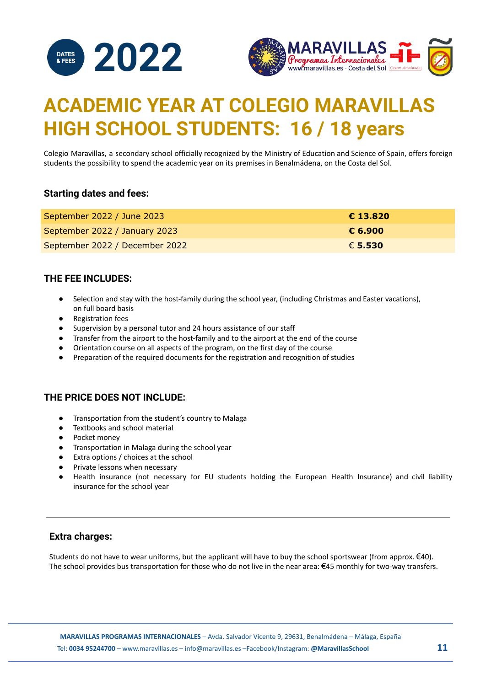



# **ACADEMIC YEAR AT COLEGIO MARAVILLAS HIGH SCHOOL STUDENTS: 16 / 18 years**

Colegio Maravillas, a secondary school officially recognized by the Ministry of Education and Science of Spain, offers foreign students the possibility to spend the academic year on its premises in Benalmádena, on the Costa del Sol.

#### **Starting dates and fees:**

| September 2022 / June 2023     | € 13.820 |
|--------------------------------|----------|
| September 2022 / January 2023  | € 6.900  |
| September 2022 / December 2022 | € 5.530  |

#### **THE FEE INCLUDES:**

- Selection and stay with the host-family during the school year, (including Christmas and Easter vacations), on full board basis
- Registration fees
- Supervision by a personal tutor and 24 hours assistance of our staff
- Transfer from the airport to the host-family and to the airport at the end of the course
- Orientation course on all aspects of the program, on the first day of the course
- Preparation of the required documents for the registration and recognition of studies

#### **THE PRICE DOES NOT INCLUDE:**

- Transportation from the student's country to Malaga
- Textbooks and school material
- Pocket money
- Transportation in Malaga during the school year
- Extra options / choices at the school
- Private lessons when necessary
- Health insurance (not necessary for EU students holding the European Health Insurance) and civil liability insurance for the school year

#### **Extra charges:**

Students do not have to wear uniforms, but the applicant will have to buy the school sportswear (from approx.  $\epsilon$ 40). The school provides bus transportation for those who do not live in the near area: €45 monthly for two-way transfers.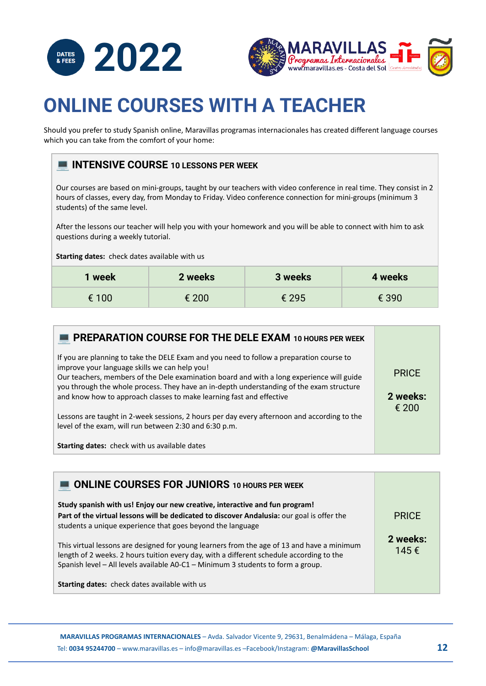



# **ONLINE COURSES WITH A TEACHER**

Should you prefer to study Spanish online, Maravillas programas internacionales has created different language courses which you can take from the comfort of your home:

### **INTENSIVE COURSE 10 LESSONS PER WEEK**

Our courses are based on mini-groups, taught by our teachers with video conference in real time. They consist in 2 hours of classes, every day, from Monday to Friday. Video conference connection for mini-groups (minimum 3 students) of the same level.

After the lessons our teacher will help you with your homework and you will be able to connect with him to ask questions during a weekly tutorial.

**Starting dates:** check dates available with us

| 1 week | 2 weeks | 3 weeks | 4 weeks |
|--------|---------|---------|---------|
| € 100  | € 200   | € 295   | € 390   |

| PREPARATION COURSE FOR THE DELE EXAM 10 HOURS PER WEEK                                                                                                                                                                                                                                                                                                                                                     |                          |
|------------------------------------------------------------------------------------------------------------------------------------------------------------------------------------------------------------------------------------------------------------------------------------------------------------------------------------------------------------------------------------------------------------|--------------------------|
| If you are planning to take the DELE Exam and you need to follow a preparation course to<br>improve your language skills we can help you!<br>Our teachers, members of the Dele examination board and with a long experience will guide<br>you through the whole process. They have an in-depth understanding of the exam structure<br>and know how to approach classes to make learning fast and effective | <b>PRICE</b><br>2 weeks: |
| Lessons are taught in 2-week sessions, 2 hours per day every afternoon and according to the<br>level of the exam, will run between 2:30 and 6:30 p.m.                                                                                                                                                                                                                                                      | € 200                    |
| <b>Starting dates:</b> check with us available dates                                                                                                                                                                                                                                                                                                                                                       |                          |

| <b>ONLINE COURSES FOR JUNIORS 10 HOURS PER WEEK</b>                                                                                                                                                                                                                        |                  |
|----------------------------------------------------------------------------------------------------------------------------------------------------------------------------------------------------------------------------------------------------------------------------|------------------|
| Study spanish with us! Enjoy our new creative, interactive and fun program!<br>Part of the virtual lessons will be dedicated to discover Andalusia: our goal is offer the<br>students a unique experience that goes beyond the language                                    | <b>PRICE</b>     |
| This virtual lessons are designed for young learners from the age of 13 and have a minimum<br>length of 2 weeks. 2 hours tuition every day, with a different schedule according to the<br>Spanish level - All levels available A0-C1 - Minimum 3 students to form a group. | 2 weeks:<br>145€ |
| <b>Starting dates:</b> check dates available with us                                                                                                                                                                                                                       |                  |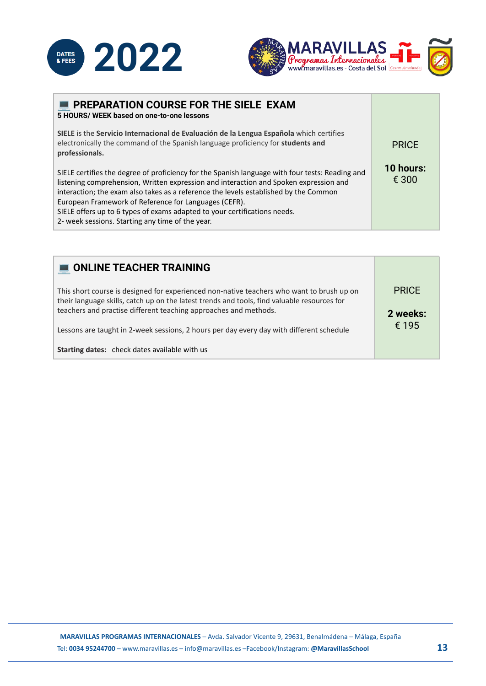



| <b>PREPARATION COURSE FOR THE SIELE EXAM</b><br>5 HOURS/ WEEK based on one-to-one lessons                                                                                                                                                                                                                                                                                                                                                                                  |                    |
|----------------------------------------------------------------------------------------------------------------------------------------------------------------------------------------------------------------------------------------------------------------------------------------------------------------------------------------------------------------------------------------------------------------------------------------------------------------------------|--------------------|
| SIELE is the Servicio Internacional de Evaluación de la Lengua Española which certifies<br>electronically the command of the Spanish language proficiency for students and<br>professionals.                                                                                                                                                                                                                                                                               | <b>PRICE</b>       |
| SIELE certifies the degree of proficiency for the Spanish language with four tests: Reading and<br>listening comprehension, Written expression and interaction and Spoken expression and<br>interaction; the exam also takes as a reference the levels established by the Common<br>European Framework of Reference for Languages (CEFR).<br>SIELE offers up to 6 types of exams adapted to your certifications needs.<br>2- week sessions. Starting any time of the year. | 10 hours:<br>€ 300 |

| <b>ONLINE TEACHER TRAINING</b>                                                                                                                                                           |                   |
|------------------------------------------------------------------------------------------------------------------------------------------------------------------------------------------|-------------------|
| This short course is designed for experienced non-native teachers who want to brush up on<br>their language skills, catch up on the latest trends and tools, find valuable resources for | <b>PRICE</b>      |
| teachers and practise different teaching approaches and methods.<br>Lessons are taught in 2-week sessions, 2 hours per day every day with different schedule                             | 2 weeks:<br>€ 195 |
| <b>Starting dates:</b> check dates available with us                                                                                                                                     |                   |